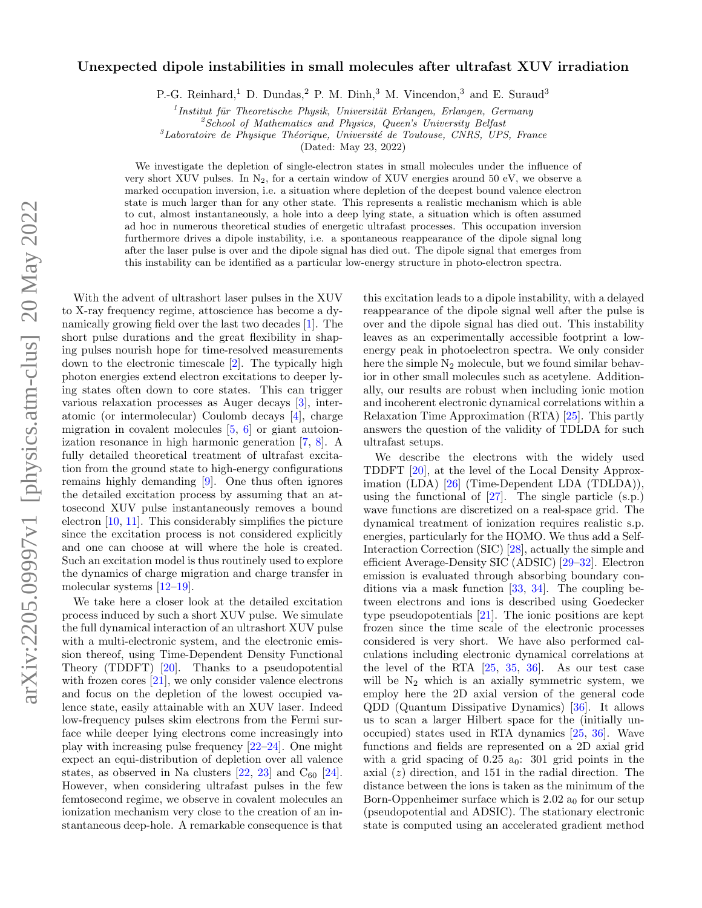## Unexpected dipole instabilities in small molecules after ultrafast XUV irradiation

P.-G. Reinhard,<sup>1</sup> D. Dundas,<sup>2</sup> P. M. Dinh,<sup>3</sup> M. Vincendon,<sup>3</sup> and E. Suraud<sup>3</sup>

 $<sup>1</sup>$ Institut für Theoretische Physik, Universität Erlangen, Erlangen, Germany</sup>

 ${}^{2}S$ chool of Mathematics and Physics, Queen's University Belfast

 ${}^{3}$ Laboratoire de Physique Théorique, Université de Toulouse, CNRS, UPS, France

(Dated: May 23, 2022)

We investigate the depletion of single-electron states in small molecules under the influence of very short XUV pulses. In  $N_2$ , for a certain window of XUV energies around 50 eV, we observe a marked occupation inversion, i.e. a situation where depletion of the deepest bound valence electron state is much larger than for any other state. This represents a realistic mechanism which is able to cut, almost instantaneously, a hole into a deep lying state, a situation which is often assumed ad hoc in numerous theoretical studies of energetic ultrafast processes. This occupation inversion furthermore drives a dipole instability, i.e. a spontaneous reappearance of the dipole signal long after the laser pulse is over and the dipole signal has died out. The dipole signal that emerges from this instability can be identified as a particular low-energy structure in photo-electron spectra.

With the advent of ultrashort laser pulses in the XUV to X-ray frequency regime, attoscience has become a dynamically growing field over the last two decades [\[1\]](#page-4-0). The short pulse durations and the great flexibility in shaping pulses nourish hope for time-resolved measurements down to the electronic timescale [\[2\]](#page-4-1). The typically high photon energies extend electron excitations to deeper lying states often down to core states. This can trigger various relaxation processes as Auger decays [\[3\]](#page-4-2), interatomic (or intermolecular) Coulomb decays [\[4\]](#page-4-3), charge migration in covalent molecules  $[5, 6]$  $[5, 6]$  $[5, 6]$  or giant autoionization resonance in high harmonic generation [\[7,](#page-4-6) [8\]](#page-4-7). A fully detailed theoretical treatment of ultrafast excitation from the ground state to high-energy configurations remains highly demanding [\[9\]](#page-4-8). One thus often ignores the detailed excitation process by assuming that an attosecond XUV pulse instantaneously removes a bound electron [\[10,](#page-4-9) [11\]](#page-4-10). This considerably simplifies the picture since the excitation process is not considered explicitly and one can choose at will where the hole is created. Such an excitation model is thus routinely used to explore the dynamics of charge migration and charge transfer in molecular systems [\[12](#page-4-11)[–19\]](#page-4-12).

We take here a closer look at the detailed excitation process induced by such a short XUV pulse. We simulate the full dynamical interaction of an ultrashort XUV pulse with a multi-electronic system, and the electronic emission thereof, using Time-Dependent Density Functional Theory (TDDFT) [\[20\]](#page-4-13). Thanks to a pseudopotential with frozen cores  $[21]$ , we only consider valence electrons and focus on the depletion of the lowest occupied valence state, easily attainable with an XUV laser. Indeed low-frequency pulses skim electrons from the Fermi surface while deeper lying electrons come increasingly into play with increasing pulse frequency [\[22–](#page-4-15)[24\]](#page-4-16). One might expect an equi-distribution of depletion over all valence states, as observed in Na clusters  $[22, 23]$  $[22, 23]$  $[22, 23]$  and  $C_{60}$   $[24]$ . However, when considering ultrafast pulses in the few femtosecond regime, we observe in covalent molecules an ionization mechanism very close to the creation of an instantaneous deep-hole. A remarkable consequence is that

this excitation leads to a dipole instability, with a delayed reappearance of the dipole signal well after the pulse is over and the dipole signal has died out. This instability leaves as an experimentally accessible footprint a lowenergy peak in photoelectron spectra. We only consider here the simple  $N_2$  molecule, but we found similar behavior in other small molecules such as acetylene. Additionally, our results are robust when including ionic motion and incoherent electronic dynamical correlations within a Relaxation Time Approximation (RTA) [\[25\]](#page-4-18). This partly answers the question of the validity of TDLDA for such ultrafast setups.

We describe the electrons with the widely used TDDFT [\[20\]](#page-4-13), at the level of the Local Density Approximation (LDA) [\[26\]](#page-4-19) (Time-Dependent LDA (TDLDA)), using the functional of  $[27]$ . The single particle  $(s.p.)$ wave functions are discretized on a real-space grid. The dynamical treatment of ionization requires realistic s.p. energies, particularly for the HOMO. We thus add a Self-Interaction Correction (SIC) [\[28\]](#page-4-21), actually the simple and efficient Average-Density SIC (ADSIC) [\[29–](#page-4-22)[32\]](#page-4-23). Electron emission is evaluated through absorbing boundary conditions via a mask function [\[33,](#page-4-24) [34\]](#page-4-25). The coupling between electrons and ions is described using Goedecker type pseudopotentials [\[21\]](#page-4-14). The ionic positions are kept frozen since the time scale of the electronic processes considered is very short. We have also performed calculations including electronic dynamical correlations at the level of the RTA  $[25, 35, 36]$  $[25, 35, 36]$  $[25, 35, 36]$  $[25, 35, 36]$  $[25, 35, 36]$ . As our test case will be  $N_2$  which is an axially symmetric system, we employ here the 2D axial version of the general code QDD (Quantum Dissipative Dynamics) [\[36\]](#page-4-27). It allows us to scan a larger Hilbert space for the (initially unoccupied) states used in RTA dynamics [\[25,](#page-4-18) [36\]](#page-4-27). Wave functions and fields are represented on a 2D axial grid with a grid spacing of  $0.25$  a<sub>0</sub>: 301 grid points in the axial  $(z)$  direction, and 151 in the radial direction. The distance between the ions is taken as the minimum of the Born-Oppenheimer surface which is  $2.02 a_0$  for our setup (pseudopotential and ADSIC). The stationary electronic state is computed using an accelerated gradient method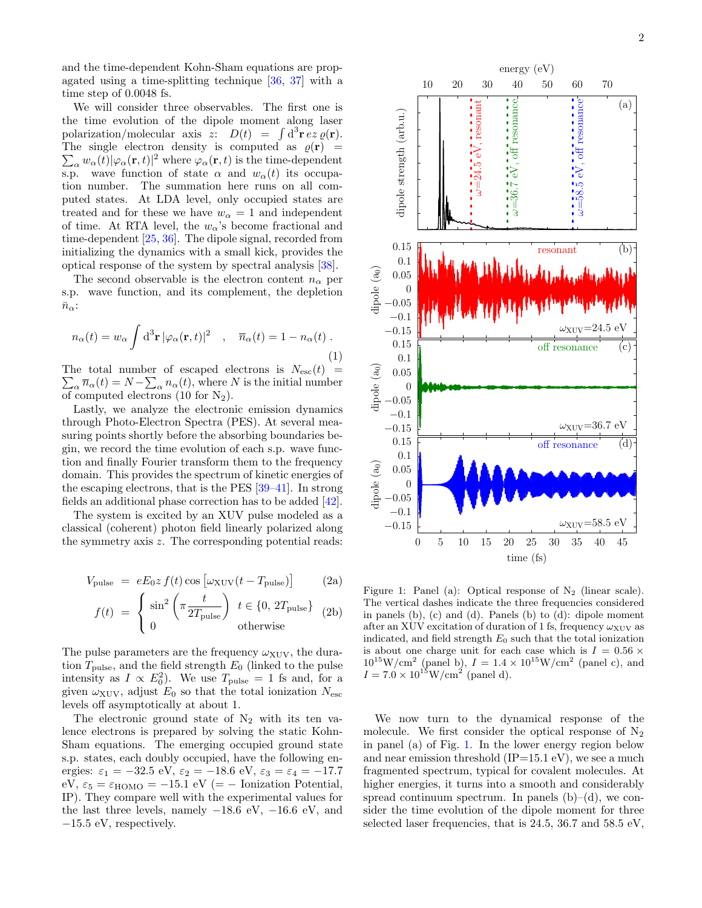and the time-dependent Kohn-Sham equations are propagated using a time-splitting technique [\[36,](#page-4-27) [37\]](#page-4-28) with a time step of 0.0048 fs.

We will consider three observables. The first one is the time evolution of the dipole moment along laser polarization/molecular axis z:  $D(t) = \int d^3 \mathbf{r} \, e^z \, \varrho(\mathbf{r}).$ The single electron density is computed as  $\rho(\mathbf{r})$  =  $\sum_{\alpha} w_{\alpha}(t) |\varphi_{\alpha}(\mathbf{r},t)|^2$  where  $\varphi_{\alpha}(\mathbf{r},t)$  is the time-dependent s.p. wave function of state  $\alpha$  and  $w_{\alpha}(t)$  its occupation number. The summation here runs on all computed states. At LDA level, only occupied states are treated and for these we have  $w_{\alpha} = 1$  and independent of time. At RTA level, the  $w_{\alpha}$ 's become fractional and time-dependent [\[25,](#page-4-18) [36\]](#page-4-27). The dipole signal, recorded from initializing the dynamics with a small kick, provides the optical response of the system by spectral analysis [\[38\]](#page-4-29).

The second observable is the electron content  $n_{\alpha}$  per s.p. wave function, and its complement, the depletion  $\bar{n}_{\alpha}$ :

<span id="page-1-1"></span>
$$
n_{\alpha}(t) = w_{\alpha} \int d^{3} \mathbf{r} |\varphi_{\alpha}(\mathbf{r}, t)|^{2} , \quad \overline{n}_{\alpha}(t) = 1 - n_{\alpha}(t) . \tag{1}
$$

The total number of escaped electrons is  $N_{\rm esc}(t)$  =  $\sum_{\alpha} \overline{n}_{\alpha}(t) = N - \sum_{\alpha} n_{\alpha}(t)$ , where N is the initial number of computed electrons (10 for  $N_2$ ).

Lastly, we analyze the electronic emission dynamics through Photo-Electron Spectra (PES). At several measuring points shortly before the absorbing boundaries begin, we record the time evolution of each s.p. wave function and finally Fourier transform them to the frequency domain. This provides the spectrum of kinetic energies of the escaping electrons, that is the PES [\[39](#page-4-30)[–41\]](#page-4-31). In strong fields an additional phase correction has to be added [\[42\]](#page-4-32).

The system is excited by an XUV pulse modeled as a classical (coherent) photon field linearly polarized along the symmetry axis z. The corresponding potential reads:

$$
V_{\text{pulse}} = eE_0 z f(t) \cos \left[\omega_{\text{XUV}}(t - T_{\text{pulse}})\right]
$$
 (2a)

$$
f(t) = \begin{cases} \sin^2\left(\pi \frac{t}{2T_{\text{pulse}}}\right) & t \in \{0, 2T_{\text{pulse}}\} \\ 0 & \text{otherwise} \end{cases}
$$
 (2b)

The pulse parameters are the frequency  $\omega_{\text{XUV}}$ , the duration  $T_{\text{pulse}}$ , and the field strength  $E_0$  (linked to the pulse intensity as  $I \propto E_0^2$ . We use  $T_{\text{pulse}} = 1$  fs and, for a given  $\omega_{\text{XUV}}$ , adjust  $E_0$  so that the total ionization  $N_{\text{esc}}$ levels off asymptotically at about 1.

The electronic ground state of  $N_2$  with its ten valence electrons is prepared by solving the static Kohn-Sham equations. The emerging occupied ground state s.p. states, each doubly occupied, have the following energies:  $\varepsilon_1 = -32.5 \text{ eV}, \varepsilon_2 = -18.6 \text{ eV}, \varepsilon_3 = \varepsilon_4 = -17.7$ eV,  $\varepsilon_5 = \varepsilon_{\text{HOMO}} = -15.1 \text{ eV } (= - \text{ Ionization Potential},$ IP). They compare well with the experimental values for the last three levels, namely  $-18.6$  eV,  $-16.6$  eV, and −15.5 eV, respectively.



<span id="page-1-0"></span>Figure 1: Panel (a): Optical response of  $N_2$  (linear scale). The vertical dashes indicate the three frequencies considered in panels (b), (c) and (d). Panels (b) to (d): dipole moment after an XUV excitation of duration of 1 fs, frequency  $\omega_{\text{XUV}}$  as indicated, and field strength  $E_0$  such that the total ionization is about one charge unit for each case which is  $I = 0.56 \times$  $10^{15}$ W/cm<sup>2</sup> (panel b),  $I = 1.4 \times 10^{15}$ W/cm<sup>2</sup> (panel c), and  $I = 7.0 \times 10^{15} W/cm^2$  (panel d).

We now turn to the dynamical response of the molecule. We first consider the optical response of  $N_2$ in panel (a) of Fig. [1.](#page-1-0) In the lower energy region below and near emission threshold  $(IP=15.1 \text{ eV})$ , we see a much fragmented spectrum, typical for covalent molecules. At higher energies, it turns into a smooth and considerably spread continuum spectrum. In panels  $(b)$ – $(d)$ , we consider the time evolution of the dipole moment for three selected laser frequencies, that is 24.5, 36.7 and 58.5 eV,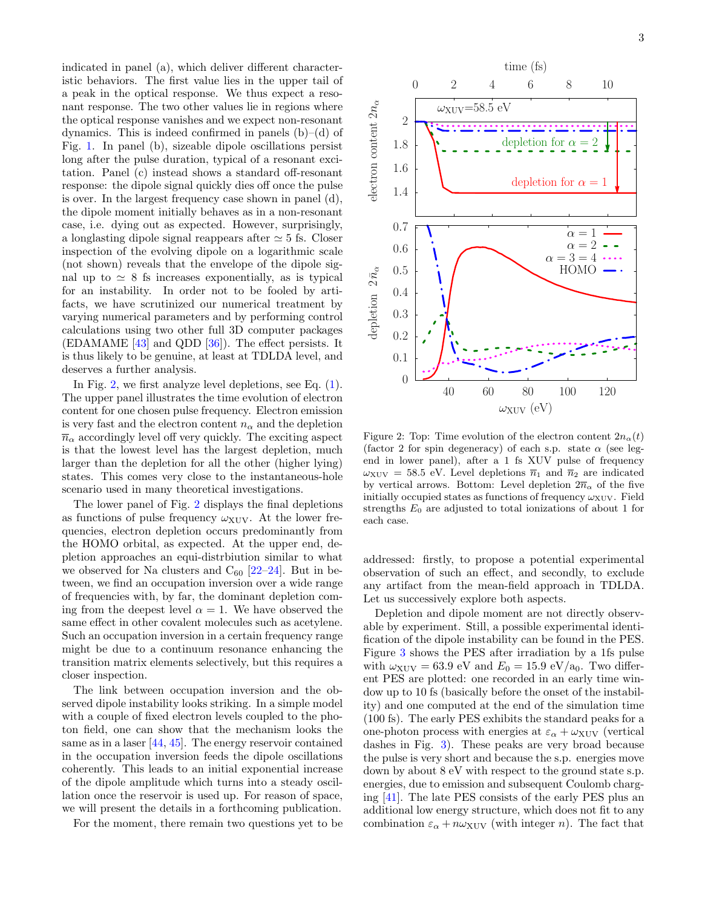indicated in panel (a), which deliver different characteristic behaviors. The first value lies in the upper tail of a peak in the optical response. We thus expect a resonant response. The two other values lie in regions where the optical response vanishes and we expect non-resonant dynamics. This is indeed confirmed in panels  $(b)$ – $(d)$  of Fig. [1.](#page-1-0) In panel (b), sizeable dipole oscillations persist long after the pulse duration, typical of a resonant excitation. Panel (c) instead shows a standard off-resonant response: the dipole signal quickly dies off once the pulse is over. In the largest frequency case shown in panel (d), the dipole moment initially behaves as in a non-resonant case, i.e. dying out as expected. However, surprisingly, a longlasting dipole signal reappears after  $\simeq$  5 fs. Closer inspection of the evolving dipole on a logarithmic scale (not shown) reveals that the envelope of the dipole signal up to  $\simeq 8$  fs increases exponentially, as is typical for an instability. In order not to be fooled by artifacts, we have scrutinized our numerical treatment by varying numerical parameters and by performing control calculations using two other full 3D computer packages (EDAMAME [\[43\]](#page-4-33) and QDD [\[36\]](#page-4-27)). The effect persists. It is thus likely to be genuine, at least at TDLDA level, and deserves a further analysis.

In Fig. [2,](#page-2-0) we first analyze level depletions, see Eq. [\(1\)](#page-1-1). The upper panel illustrates the time evolution of electron content for one chosen pulse frequency. Electron emission is very fast and the electron content  $n_{\alpha}$  and the depletion  $\overline{n}_{\alpha}$  accordingly level off very quickly. The exciting aspect is that the lowest level has the largest depletion, much larger than the depletion for all the other (higher lying) states. This comes very close to the instantaneous-hole scenario used in many theoretical investigations.

The lower panel of Fig. [2](#page-2-0) displays the final depletions as functions of pulse frequency  $\omega_{XUV}$ . At the lower frequencies, electron depletion occurs predominantly from the HOMO orbital, as expected. At the upper end, depletion approaches an equi-distrbiution similar to what we observed for Na clusters and  $C_{60}$  [\[22–](#page-4-15)[24\]](#page-4-16). But in between, we find an occupation inversion over a wide range of frequencies with, by far, the dominant depletion coming from the deepest level  $\alpha = 1$ . We have observed the same effect in other covalent molecules such as acetylene. Such an occupation inversion in a certain frequency range might be due to a continuum resonance enhancing the transition matrix elements selectively, but this requires a closer inspection.

The link between occupation inversion and the observed dipole instability looks striking. In a simple model with a couple of fixed electron levels coupled to the photon field, one can show that the mechanism looks the same as in a laser [\[44,](#page-4-34) [45\]](#page-4-35). The energy reservoir contained in the occupation inversion feeds the dipole oscillations coherently. This leads to an initial exponential increase of the dipole amplitude which turns into a steady oscillation once the reservoir is used up. For reason of space, we will present the details in a forthcoming publication.

For the moment, there remain two questions yet to be



<span id="page-2-0"></span>Figure 2: Top: Time evolution of the electron content  $2n_{\alpha}(t)$ (factor 2 for spin degeneracy) of each s.p. state  $\alpha$  (see legend in lower panel), after a 1 fs XUV pulse of frequency  $\omega_{\text{XUV}} = 58.5 \text{ eV}$ . Level depletions  $\overline{n}_1$  and  $\overline{n}_2$  are indicated by vertical arrows. Bottom: Level depletion  $2\overline{n}_{\alpha}$  of the five initially occupied states as functions of frequency  $\omega_{\text{XUV}}$ . Field strengths  $E_0$  are adjusted to total ionizations of about 1 for each case.

addressed: firstly, to propose a potential experimental observation of such an effect, and secondly, to exclude any artifact from the mean-field approach in TDLDA. Let us successively explore both aspects.

Depletion and dipole moment are not directly observable by experiment. Still, a possible experimental identification of the dipole instability can be found in the PES. Figure [3](#page-3-0) shows the PES after irradiation by a 1fs pulse with  $\omega_{\text{XUV}} = 63.9 \text{ eV}$  and  $E_0 = 15.9 \text{ eV}/a_0$ . Two different PES are plotted: one recorded in an early time window up to 10 fs (basically before the onset of the instability) and one computed at the end of the simulation time (100 fs). The early PES exhibits the standard peaks for a one-photon process with energies at  $\varepsilon_{\alpha} + \omega_{\text{XUV}}$  (vertical dashes in Fig. [3\)](#page-3-0). These peaks are very broad because the pulse is very short and because the s.p. energies move down by about 8 eV with respect to the ground state s.p. energies, due to emission and subsequent Coulomb charging [\[41\]](#page-4-31). The late PES consists of the early PES plus an additional low energy structure, which does not fit to any combination  $\varepsilon_{\alpha} + n\omega_{\text{XUV}}$  (with integer n). The fact that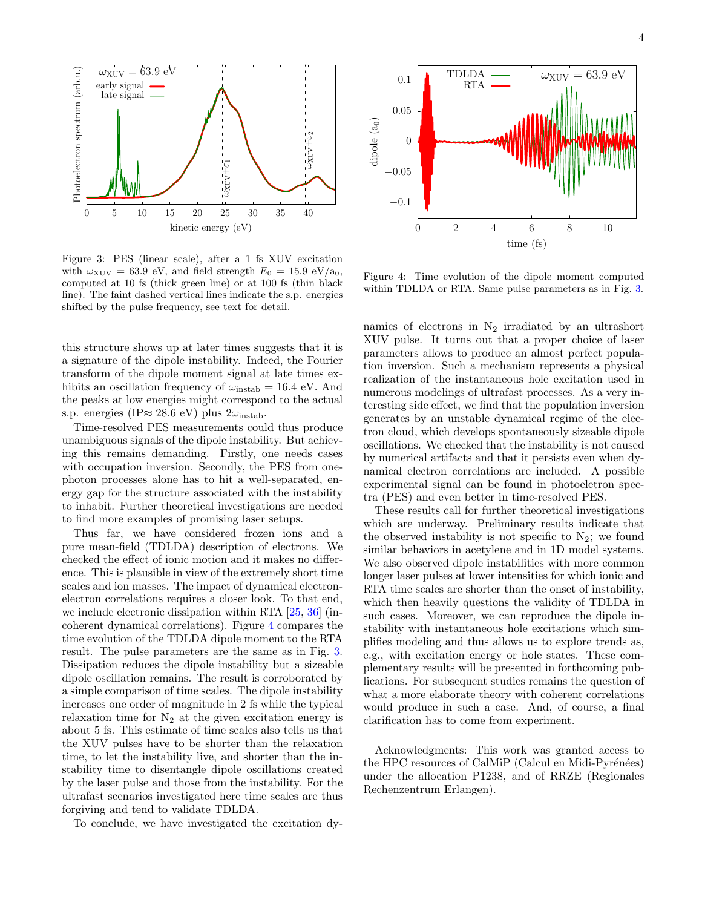

<span id="page-3-0"></span>Figure 3: PES (linear scale), after a 1 fs XUV excitation with  $\omega_{\text{XUV}} = 63.9 \text{ eV}$ , and field strength  $E_0 = 15.9 \text{ eV}/a_0$ , computed at 10 fs (thick green line) or at 100 fs (thin black line). The faint dashed vertical lines indicate the s.p. energies shifted by the pulse frequency, see text for detail.

this structure shows up at later times suggests that it is a signature of the dipole instability. Indeed, the Fourier transform of the dipole moment signal at late times exhibits an oscillation frequency of  $\omega_{\text{instab}} = 16.4 \text{ eV}$ . And the peaks at low energies might correspond to the actual s.p. energies (IP≈ 28.6 eV) plus  $2\omega_{\text{instab}}$ .

Time-resolved PES measurements could thus produce unambiguous signals of the dipole instability. But achieving this remains demanding. Firstly, one needs cases with occupation inversion. Secondly, the PES from onephoton processes alone has to hit a well-separated, energy gap for the structure associated with the instability to inhabit. Further theoretical investigations are needed to find more examples of promising laser setups.

Thus far, we have considered frozen ions and a pure mean-field (TDLDA) description of electrons. We checked the effect of ionic motion and it makes no difference. This is plausible in view of the extremely short time scales and ion masses. The impact of dynamical electronelectron correlations requires a closer look. To that end, we include electronic dissipation within RTA [\[25,](#page-4-18) [36\]](#page-4-27) (incoherent dynamical correlations). Figure [4](#page-3-1) compares the time evolution of the TDLDA dipole moment to the RTA result. The pulse parameters are the same as in Fig. [3.](#page-3-0) Dissipation reduces the dipole instability but a sizeable dipole oscillation remains. The result is corroborated by a simple comparison of time scales. The dipole instability increases one order of magnitude in 2 fs while the typical relaxation time for  $N_2$  at the given excitation energy is about 5 fs. This estimate of time scales also tells us that the XUV pulses have to be shorter than the relaxation time, to let the instability live, and shorter than the instability time to disentangle dipole oscillations created by the laser pulse and those from the instability. For the ultrafast scenarios investigated here time scales are thus forgiving and tend to validate TDLDA.

To conclude, we have investigated the excitation dy-



<span id="page-3-1"></span>Figure 4: Time evolution of the dipole moment computed within TDLDA or RTA. Same pulse parameters as in Fig. [3.](#page-3-0)

namics of electrons in  $N_2$  irradiated by an ultrashort XUV pulse. It turns out that a proper choice of laser parameters allows to produce an almost perfect population inversion. Such a mechanism represents a physical realization of the instantaneous hole excitation used in numerous modelings of ultrafast processes. As a very interesting side effect, we find that the population inversion generates by an unstable dynamical regime of the electron cloud, which develops spontaneously sizeable dipole oscillations. We checked that the instability is not caused by numerical artifacts and that it persists even when dynamical electron correlations are included. A possible experimental signal can be found in photoeletron spectra (PES) and even better in time-resolved PES.

These results call for further theoretical investigations which are underway. Preliminary results indicate that the observed instability is not specific to  $N_2$ ; we found similar behaviors in acetylene and in 1D model systems. We also observed dipole instabilities with more common longer laser pulses at lower intensities for which ionic and RTA time scales are shorter than the onset of instability, which then heavily questions the validity of TDLDA in such cases. Moreover, we can reproduce the dipole instability with instantaneous hole excitations which simplifies modeling and thus allows us to explore trends as, e.g., with excitation energy or hole states. These complementary results will be presented in forthcoming publications. For subsequent studies remains the question of what a more elaborate theory with coherent correlations would produce in such a case. And, of course, a final clarification has to come from experiment.

Acknowledgments: This work was granted access to the HPC resources of CalMiP (Calcul en Midi-Pyrénées) under the allocation P1238, and of RRZE (Regionales Rechenzentrum Erlangen).